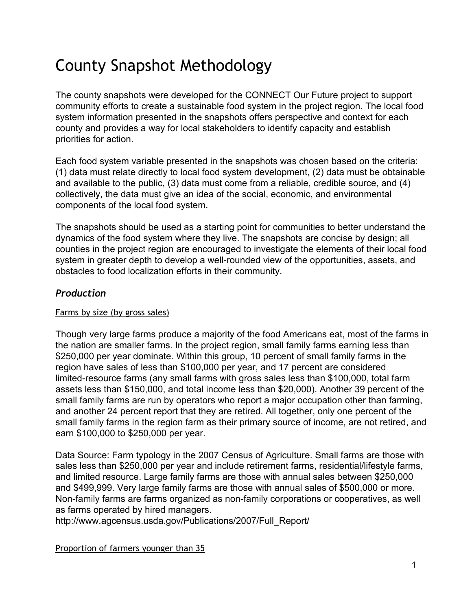# County Snapshot Methodology

The county snapshots were developed for the CONNECT Our Future project to support community efforts to create a sustainable food system in the project region. The local food system information presented in the snapshots offers perspective and context for each county and provides a way for local stakeholders to identify capacity and establish priorities for action.

Each food system variable presented in the snapshots was chosen based on the criteria: (1) data must relate directly to local food system development, (2) data must be obtainable and available to the public, (3) data must come from a reliable, credible source, and (4) collectively, the data must give an idea of the social, economic, and environmental components of the local food system.

The snapshots should be used as a starting point for communities to better understand the dynamics of the food system where they live. The snapshots are concise by design; all counties in the project region are encouraged to investigate the elements of their local food system in greater depth to develop a well-rounded view of the opportunities, assets, and obstacles to food localization efforts in their community.

## *Production*

#### Farms by size (by gross sales)

Though very large farms produce a majority of the food Americans eat, most of the farms in the nation are smaller farms. In the project region, small family farms earning less than \$250,000 per year dominate. Within this group, 10 percent of small family farms in the region have sales of less than \$100,000 per year, and 17 percent are considered limited-resource farms (any small farms with gross sales less than \$100,000, total farm assets less than \$150,000, and total income less than \$20,000). Another 39 percent of the small family farms are run by operators who report a major occupation other than farming, and another 24 percent report that they are retired. All together, only one percent of the small family farms in the region farm as their primary source of income, are not retired, and earn \$100,000 to \$250,000 per year.

Data Source: Farm typology in the 2007 Census of Agriculture. Small farms are those with sales less than \$250,000 per year and include retirement farms, residential/lifestyle farms, and limited resource. Large family farms are those with annual sales between \$250,000 and \$499,999. Very large family farms are those with annual sales of \$500,000 or more. Non-family farms are farms organized as non-family corporations or cooperatives, as well as farms operated by hired managers.

[http://www.agcensus.usda.gov/Publications/2007/Full\\_Report/](http://www.google.com/url?q=http%3A%2F%2Fwww.agcensus.usda.gov%2FPublications%2F2007%2FFull_Report%2F&sa=D&sntz=1&usg=AFQjCNF4Kl20N1ObSiCUceo9AYSpzeiJjw)

Proportion of farmers younger than 35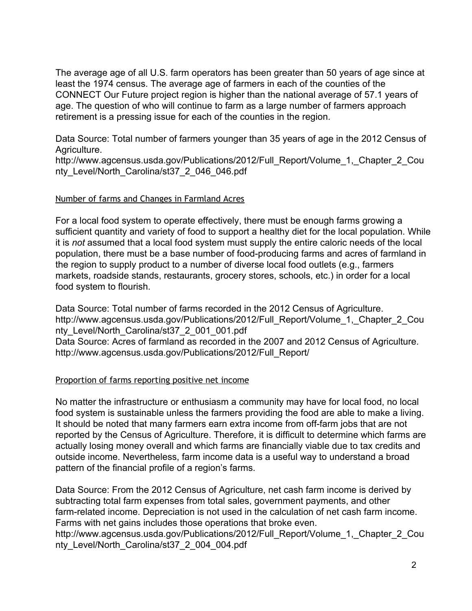The average age of all U.S. farm operators has been greater than 50 years of age since at least the 1974 census. The average age of farmers in each of the counties of the CONNECT Our Future project region is higher than the national average of 57.1 years of age. The question of who will continue to farm as a large number of farmers approach retirement is a pressing issue for each of the counties in the region.

Data Source: Total number of farmers younger than 35 years of age in the 2012 Census of Agriculture.

http://www.agcensus.usda.gov/Publications/2012/Full\_Report/Volume\_1,\_Chapter\_2\_Cou nty\_Level/North\_Carolina/st37\_2\_046\_046.pdf

#### Number of farms and Changes in Farmland Acres

For a local food system to operate effectively, there must be enough farms growing a sufficient quantity and variety of food to support a healthy diet for the local population. While it is *not* assumed that a local food system must supply the entire caloric needs of the local population, there must be a base number of food-producing farms and acres of farmland in the region to supply product to a number of diverse local food outlets (e.g., farmers markets, roadside stands, restaurants, grocery stores, schools, etc.) in order for a local food system to flourish.

Data Source: Total number of farms recorded in the 2012 Census of Agriculture. http://www.agcensus.usda.gov/Publications/2012/Full\_Report/Volume\_1,\_Chapter\_2\_Cou nty Level/North Carolina/st37 2 001 001.pdf Data Source: Acres of farmland as recorded in the 2007 and 2012 Census of Agriculture. http://www.agcensus.usda.gov/Publications/2012/Full\_Report/

#### Proportion of farms reporting positive net income

No matter the infrastructure or enthusiasm a community may have for local food, no local food system is sustainable unless the farmers providing the food are able to make a living. It should be noted that many farmers earn extra income from off-farm jobs that are not reported by the Census of Agriculture. Therefore, it is difficult to determine which farms are actually losing money overall and which farms are financially viable due to tax credits and outside income. Nevertheless, farm income data is a useful way to understand a broad pattern of the financial profile of a region's farms.

Data Source: From the 2012 Census of Agriculture, net cash farm income is derived by subtracting total farm expenses from total sales, government payments, and other farm-related income. Depreciation is not used in the calculation of net cash farm income. Farms with net gains includes those operations that broke even. http://www.agcensus.usda.gov/Publications/2012/Full\_Report/Volume\_1,\_Chapter\_2\_Cou nty\_Level/North\_Carolina/st37\_2\_004\_004.pdf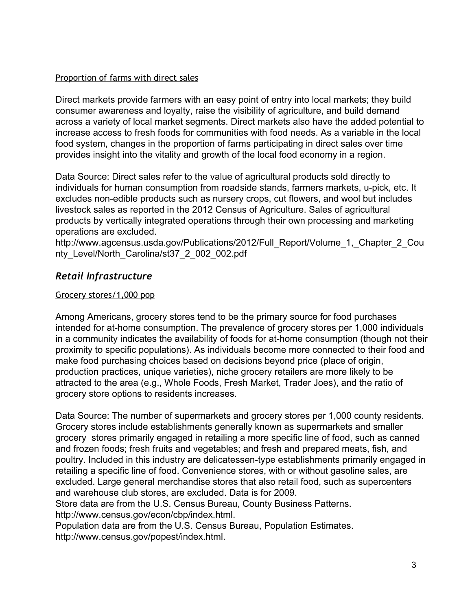#### Proportion of farms with direct sales

Direct markets provide farmers with an easy point of entry into local markets; they build consumer awareness and loyalty, raise the visibility of agriculture, and build demand across a variety of local market segments. Direct markets also have the added potential to increase access to fresh foods for communities with food needs. As a variable in the local food system, changes in the proportion of farms participating in direct sales over time provides insight into the vitality and growth of the local food economy in a region.

Data Source: Direct sales refer to the value of agricultural products sold directly to individuals for human consumption from roadside stands, farmers markets, u-pick, etc. It excludes non-edible products such as nursery crops, cut flowers, and wool but includes livestock sales as reported in the 2012 Census of Agriculture. Sales of agricultural products by vertically integrated operations through their own processing and marketing operations are excluded.

http://www.agcensus.usda.gov/Publications/2012/Full\_Report/Volume\_1,\_Chapter\_2\_Cou nty\_Level/North\_Carolina/st37\_2\_002\_002.pdf

## *Retail Infrastructure*

## Grocery stores/1,000 pop

Among Americans, grocery stores tend to be the primary source for food purchases intended for at-home consumption. The prevalence of grocery stores per 1,000 individuals in a community indicates the availability of foods for at-home consumption (though not their proximity to specific populations). As individuals become more connected to their food and make food purchasing choices based on decisions beyond price (place of origin, production practices, unique varieties), niche grocery retailers are more likely to be attracted to the area (e.g., Whole Foods, Fresh Market, Trader Joes), and the ratio of grocery store options to residents increases.

Data Source: The number of supermarkets and grocery stores per 1,000 county residents. Grocery stores include establishments generally known as supermarkets and smaller grocery stores primarily engaged in retailing a more specific line of food, such as canned and frozen foods; fresh fruits and vegetables; and fresh and prepared meats, fish, and poultry. Included in this industry are delicatessen-type establishments primarily engaged in retailing a specific line of food. Convenience stores, with or without gasoline sales, are excluded. Large general merchandise stores that also retail food, such as supercenters and warehouse club stores, are excluded. Data is for 2009.

Store data are from the U.S. Census Bureau, County Business Patterns.

[http://www.census.gov/econ/cbp/index.html.](http://www.google.com/url?q=http%3A%2F%2Fwww.census.gov%2Fecon%2Fcbp%2Findex.html.&sa=D&sntz=1&usg=AFQjCNFXnFTHXVwSLCVWXCwblFGnT9uaAQ)

Population data are from the U.S. Census Bureau, Population Estimates. [http://www.census.gov/popest/index.html.](http://www.google.com/url?q=http%3A%2F%2Fwww.census.gov%2Fpopest%2Findex.html.&sa=D&sntz=1&usg=AFQjCNHyopD1ysb6jxVIRt33Bw6XYtjERg)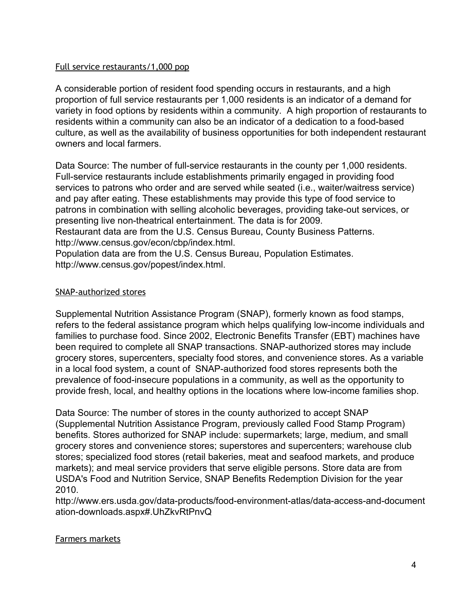#### Full service restaurants/1,000 pop

A considerable portion of resident food spending occurs in restaurants, and a high proportion of full service restaurants per 1,000 residents is an indicator of a demand for variety in food options by residents within a community. A high proportion of restaurants to residents within a community can also be an indicator of a dedication to a food-based culture, as well as the availability of business opportunities for both independent restaurant owners and local farmers.

Data Source: The number of full-service restaurants in the county per 1,000 residents. Full-service restaurants include establishments primarily engaged in providing food services to patrons who order and are served while seated (i.e., waiter/waitress service) and pay after eating. These establishments may provide this type of food service to patrons in combination with selling alcoholic beverages, providing take-out services, or presenting live non-theatrical entertainment. The data is for 2009. Restaurant data are from the U.S. Census Bureau, County Business Patterns. [http://www.census.gov/econ/cbp/index.html.](http://www.google.com/url?q=http%3A%2F%2Fwww.census.gov%2Fecon%2Fcbp%2Findex.html.&sa=D&sntz=1&usg=AFQjCNFXnFTHXVwSLCVWXCwblFGnT9uaAQ) Population data are from the U.S. Census Bureau, Population Estimates.

[http://www.census.gov/popest/index.html.](http://www.google.com/url?q=http%3A%2F%2Fwww.census.gov%2Fpopest%2Findex.html.&sa=D&sntz=1&usg=AFQjCNHyopD1ysb6jxVIRt33Bw6XYtjERg)

#### SNAP-authorized stores

Supplemental Nutrition Assistance Program (SNAP), formerly known as food stamps, refers to the federal assistance program which helps qualifying low-income individuals and families to purchase food. Since 2002, Electronic Benefits Transfer (EBT) machines have been required to complete all SNAP transactions. SNAP-authorized stores may include grocery stores, supercenters, specialty food stores, and convenience stores. As a variable in a local food system, a count of SNAP-authorized food stores represents both the prevalence of food-insecure populations in a community, as well as the opportunity to provide fresh, local, and healthy options in the locations where low-income families shop.

Data Source: The number of stores in the county authorized to accept SNAP (Supplemental Nutrition Assistance Program, previously called Food Stamp Program) benefits. Stores authorized for SNAP include: supermarkets; large, medium, and small grocery stores and convenience stores; superstores and supercenters; warehouse club stores; specialized food stores (retail bakeries, meat and seafood markets, and produce markets); and meal service providers that serve eligible persons. Store data are from USDA's Food and Nutrition Service, SNAP Benefits Redemption Division for the year 2010.

http://www.ers.usda.gov/data-products/food-environment-atlas/data-access-and-document ation-downloads.aspx#.UhZkvRtPnvQ

#### Farmers markets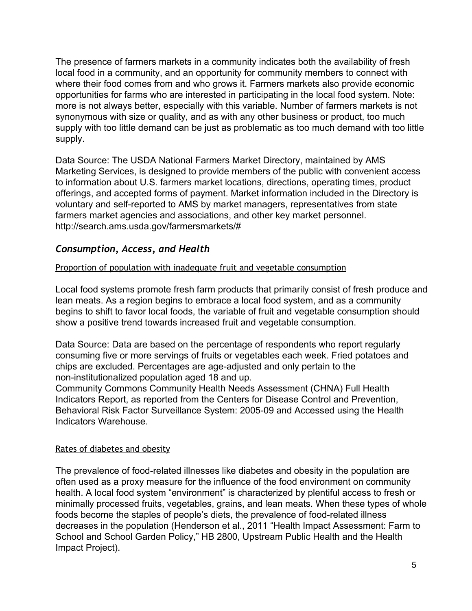The presence of farmers markets in a community indicates both the availability of fresh local food in a community, and an opportunity for community members to connect with where their food comes from and who grows it. Farmers markets also provide economic opportunities for farms who are interested in participating in the local food system. Note: more is not always better, especially with this variable. Number of farmers markets is not synonymous with size or quality, and as with any other business or product, too much supply with too little demand can be just as problematic as too much demand with too little supply.

Data Source: The USDA National Farmers Market Directory, maintained by AMS Marketing Services, is designed to provide members of the public with convenient access to information about U.S. farmers market locations, directions, operating times, product offerings, and accepted forms of payment. Market information included in the Directory is voluntary and self-reported to AMS by market managers, representatives from state farmers market agencies and associations, and other key market personnel. [http://search.ams.usda.gov/farmersmarkets/#](http://www.google.com/url?q=http%3A%2F%2Fsearch.ams.usda.gov%2Ffarmersmarkets%2F%23&sa=D&sntz=1&usg=AFQjCNFpa1ipT8l3ILvK5y4Kn8gdYJLZWA)

## *Consumption, Access, and Health*

#### Proportion of population with inadequate fruit and vegetable consumption

Local food systems promote fresh farm products that primarily consist of fresh produce and lean meats. As a region begins to embrace a local food system, and as a community begins to shift to favor local foods, the variable of fruit and vegetable consumption should show a positive trend towards increased fruit and vegetable consumption.

Data Source: Data are based on the percentage of respondents who report regularly consuming five or more servings of fruits or vegetables each week. Fried potatoes and chips are excluded. Percentages are age-adjusted and only pertain to the non-institutionalized population aged 18 and up.

Community Commons Community Health Needs [Assessment](http://www.google.com/url?q=http%3A%2F%2Fassessment.communitycommons.org%2FCHNA%2FSelectArea.aspx%3Freporttype%3DlibraryCHNA&sa=D&sntz=1&usg=AFQjCNHhs0TyBzbMFW1I7IYfy27CHzep0Q) (CHNA) Full Health [Indicators](http://www.google.com/url?q=http%3A%2F%2Fassessment.communitycommons.org%2FCHNA%2FSelectArea.aspx%3Freporttype%3DlibraryCHNA&sa=D&sntz=1&usg=AFQjCNHhs0TyBzbMFW1I7IYfy27CHzep0Q) Report, as reported from the Centers for Disease Control and Prevention, Behavioral Risk Factor Surveillance System: 2005-09 and Accessed using the Health Indicators Warehouse.

#### Rates of diabetes and obesity

The prevalence of food-related illnesses like diabetes and obesity in the population are often used as a proxy measure for the influence of the food environment on community health. A local food system "environment" is characterized by plentiful access to fresh or minimally processed fruits, vegetables, grains, and lean meats. When these types of whole foods become the staples of people's diets, the prevalence of food-related illness decreases in the population (Henderson et al., 2011 "Health Impact Assessment: Farm to School and School Garden Policy," HB 2800, Upstream Public Health and the Health Impact Project).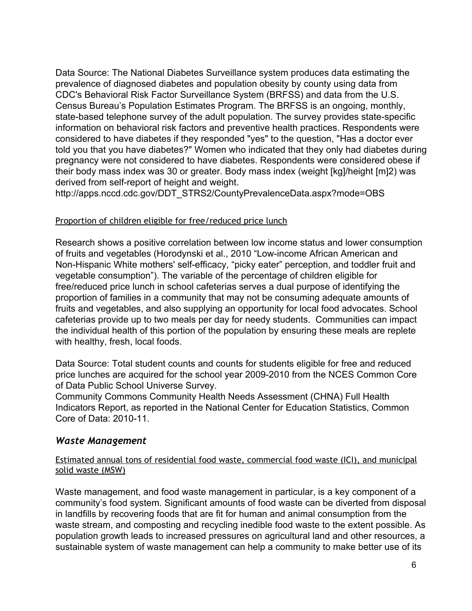Data Source: The National Diabetes Surveillance system produces data estimating the prevalence of diagnosed diabetes and population obesity by county using data from CDC's Behavioral Risk Factor Surveillance System (BRFSS) and data from the U.S. Census Bureau's Population Estimates Program. The BRFSS is an ongoing, monthly, state-based telephone survey of the adult population. The survey provides state-specific information on behavioral risk factors and preventive health practices. Respondents were considered to have diabetes if they responded "yes" to the question, "Has a doctor ever told you that you have diabetes?" Women who indicated that they only had diabetes during pregnancy were not considered to have diabetes. Respondents were considered obese if their body mass index was 30 or greater. Body mass index (weight [kg]/height [m]2) was derived from self-report of height and weight.

[http://apps.nccd.cdc.gov/DDT\\_STRS2/CountyPrevalenceData.aspx?mode=OBS](http://www.google.com/url?q=http%3A%2F%2Fapps.nccd.cdc.gov%2FDDT_STRS2%2FCountyPrevalenceData.aspx%3Fmode%3DOBS&sa=D&sntz=1&usg=AFQjCNEUuPOdgEj-J6fWmGKD3FLJWcbknw)

#### Proportion of children eligible for free/reduced price lunch

Research shows a positive correlation between low income status and lower consumption of fruits and vegetables (Horodynski et al., 2010 "Low-income African American and Non-Hispanic White mothers' self-efficacy, "picky eater" perception, and toddler fruit and vegetable consumption"). The variable of the percentage of children eligible for free/reduced price lunch in school cafeterias serves a dual purpose of identifying the proportion of families in a community that may not be consuming adequate amounts of fruits and vegetables, and also supplying an opportunity for local food advocates. School cafeterias provide up to two meals per day for needy students. Communities can impact the individual health of this portion of the population by ensuring these meals are replete with healthy, fresh, local foods.

Data Source: Total student counts and counts for students eligible for free and reduced price lunches are acquired for the school year 2009-2010 from the NCES Common Core of Data Public School Universe Survey.

Community Commons Community Health Needs [Assessment](http://www.google.com/url?q=http%3A%2F%2Fassessment.communitycommons.org%2FCHNA%2FSelectArea.aspx%3Freporttype%3DlibraryCHNA&sa=D&sntz=1&usg=AFQjCNHhs0TyBzbMFW1I7IYfy27CHzep0Q) (CHNA) Full Health [Indicators](http://www.google.com/url?q=http%3A%2F%2Fassessment.communitycommons.org%2FCHNA%2FSelectArea.aspx%3Freporttype%3DlibraryCHNA&sa=D&sntz=1&usg=AFQjCNHhs0TyBzbMFW1I7IYfy27CHzep0Q) Report, as reported in the National Center for Education Statistics, Common Core of Data: 2010-11.

#### *Waste Management*

Estimated annual tons of residential food waste, commercial food waste (ICI), and municipal solid waste (MSW)

Waste management, and food waste management in particular, is a key component of a community's food system. Significant amounts of food waste can be diverted from disposal in landfills by recovering foods that are fit for human and animal consumption from the waste stream, and composting and recycling inedible food waste to the extent possible. As population growth leads to increased pressures on agricultural land and other resources, a sustainable system of waste management can help a community to make better use of its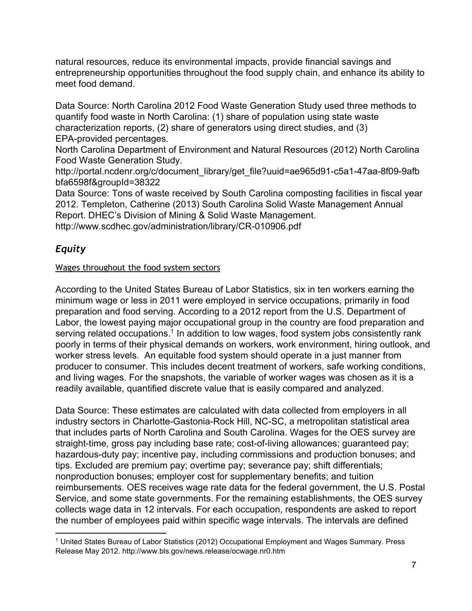natural resources, reduce its environmental impacts, provide financial savings and entrepreneurship opportunities throughout the food supply chain, and enhance its ability to meet food demand.

Data Source: North Carolina 2012 Food Waste Generation Study used three methods to quantify food waste in North Carolina: (1) share of population using state waste characterization reports, (2) share of generators using direct studies, and (3) EPA-provided percentages.

North Carolina Department of Environment and Natural Resources (2012) North Carolina Food Waste Generation Study.

http://portal.ncdenr.org/c/document\_library/get\_file?uuid=ae965d91-c5a1-47aa-8f09-9afb [bfa6598f&groupId=38322](http://www.google.com/url?q=http%3A%2F%2Fportal.ncdenr.org%2Fc%2Fdocument_library%2Fget_file%3Fuuid%3Dae965d91-c5a1-47aa-8f09-9afbbfa6598f%26groupId%3D38322&sa=D&sntz=1&usg=AFQjCNEnskPEal30XLo1GF6GQdr9nNY8BQ)

Data Source: Tons of waste received by South Carolina composting facilities in fiscal year 2012. Templeton, Catherine (2013) South Carolina Solid Waste Management Annual Report. DHEC's Division of Mining & Solid Waste Management. http://www.scdhec.gov/administration/library/CR-010906.pdf

# *Equity*

## Wages throughout the food system sectors

According to the United States Bureau of Labor Statistics, six in ten workers earning the minimum wage or less in 2011 were employed in service occupations, primarily in food preparation and food serving. According to a 2012 report from the U.S. Department of Labor, the lowest paying major occupational group in the country are food preparation and serving related occupations.<sup>1</sup> In addition to low wages, food system jobs consistently rank poorly in terms of their physical demands on workers, work environment, hiring outlook, and worker stress levels. An equitable food system should operate in a just manner from producer to consumer. This includes decent treatment of workers, safe working conditions, and living wages. For the snapshots, the variable of worker wages was chosen as it is a readily available, quantified discrete value that is easily compared and analyzed.

Data Source: These estimates are calculated with data collected from employers in all industry sectors in Charlotte-Gastonia-Rock Hill, NC-SC, a metropolitan statistical area that includes parts of North Carolina and South Carolina. Wages for the OES survey are straight-time, gross pay including base rate; cost-of-living allowances; guaranteed pay; hazardous-duty pay; incentive pay, including commissions and production bonuses; and tips. Excluded are premium pay; overtime pay; severance pay; shift differentials; nonproduction bonuses; employer cost for supplementary benefits; and tuition reimbursements. OES receives wage rate data for the federal government, the U.S. Postal Service, and some state governments. For the remaining establishments, the OES survey collects wage data in 12 intervals. For each occupation, respondents are asked to report the number of employees paid within specific wage intervals. The intervals are defined

<sup>1</sup> United States Bureau of Labor Statistics (2012) Occupational Employment and Wages Summary. Press Release May 2012. [http://www.bls.gov/news.release/ocwage.nr0.htm](http://www.google.com/url?q=http%3A%2F%2Fwww.bls.gov%2Fnews.release%2Focwage.nr0.htm&sa=D&sntz=1&usg=AFQjCNEuRxVSYg8BHxplC5jWd7Gr9G7nmw)